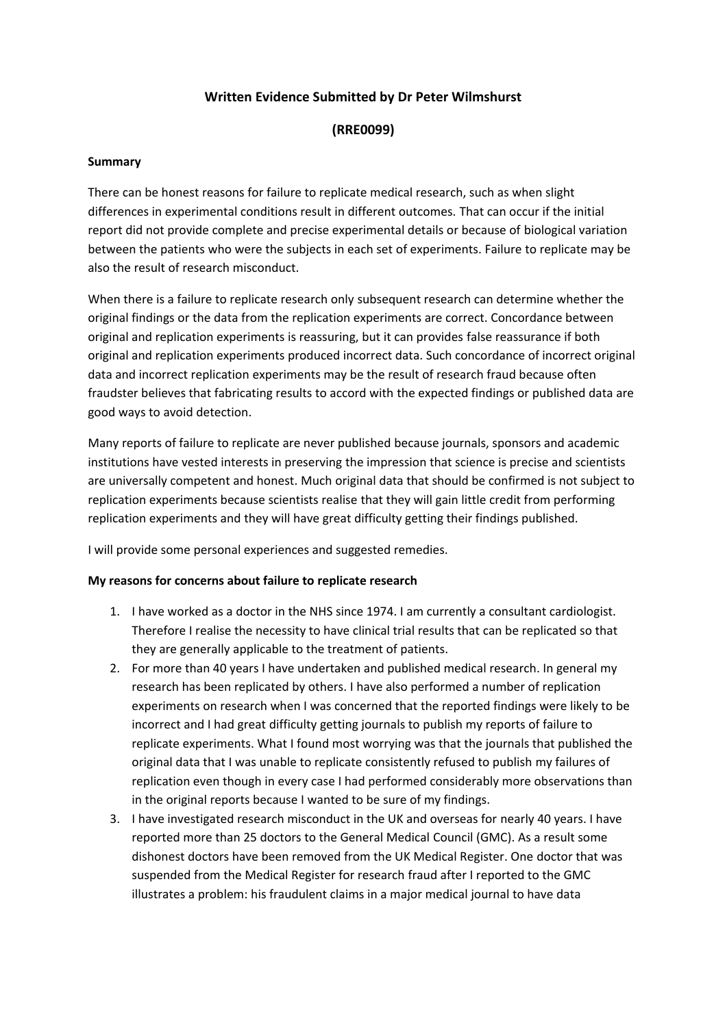## **Written Evidence Submitted by Dr Peter Wilmshurst**

## **(RRE0099)**

#### **Summary**

There can be honest reasons for failure to replicate medical research, such as when slight differences in experimental conditions result in different outcomes. That can occur if the initial report did not provide complete and precise experimental details or because of biological variation between the patients who were the subjects in each set of experiments. Failure to replicate may be also the result of research misconduct.

When there is a failure to replicate research only subsequent research can determine whether the original findings or the data from the replication experiments are correct. Concordance between original and replication experiments is reassuring, but it can provides false reassurance if both original and replication experiments produced incorrect data. Such concordance of incorrect original data and incorrect replication experiments may be the result of research fraud because often fraudster believes that fabricating results to accord with the expected findings or published data are good ways to avoid detection.

Many reports of failure to replicate are never published because journals, sponsors and academic institutions have vested interests in preserving the impression that science is precise and scientists are universally competent and honest. Much original data that should be confirmed is not subject to replication experiments because scientists realise that they will gain little credit from performing replication experiments and they will have great difficulty getting their findings published.

I will provide some personal experiences and suggested remedies.

## **My reasons for concerns about failure to replicate research**

- 1. I have worked as a doctor in the NHS since 1974. I am currently a consultant cardiologist. Therefore I realise the necessity to have clinical trial results that can be replicated so that they are generally applicable to the treatment of patients.
- 2. For more than 40 years I have undertaken and published medical research. In general my research has been replicated by others. I have also performed a number of replication experiments on research when I was concerned that the reported findings were likely to be incorrect and I had great difficulty getting journals to publish my reports of failure to replicate experiments. What I found most worrying was that the journals that published the original data that I was unable to replicate consistently refused to publish my failures of replication even though in every case I had performed considerably more observations than in the original reports because I wanted to be sure of my findings.
- 3. I have investigated research misconduct in the UK and overseas for nearly 40 years. I have reported more than 25 doctors to the General Medical Council (GMC). As a result some dishonest doctors have been removed from the UK Medical Register. One doctor that was suspended from the Medical Register for research fraud after I reported to the GMC illustrates a problem: his fraudulent claims in a major medical journal to have data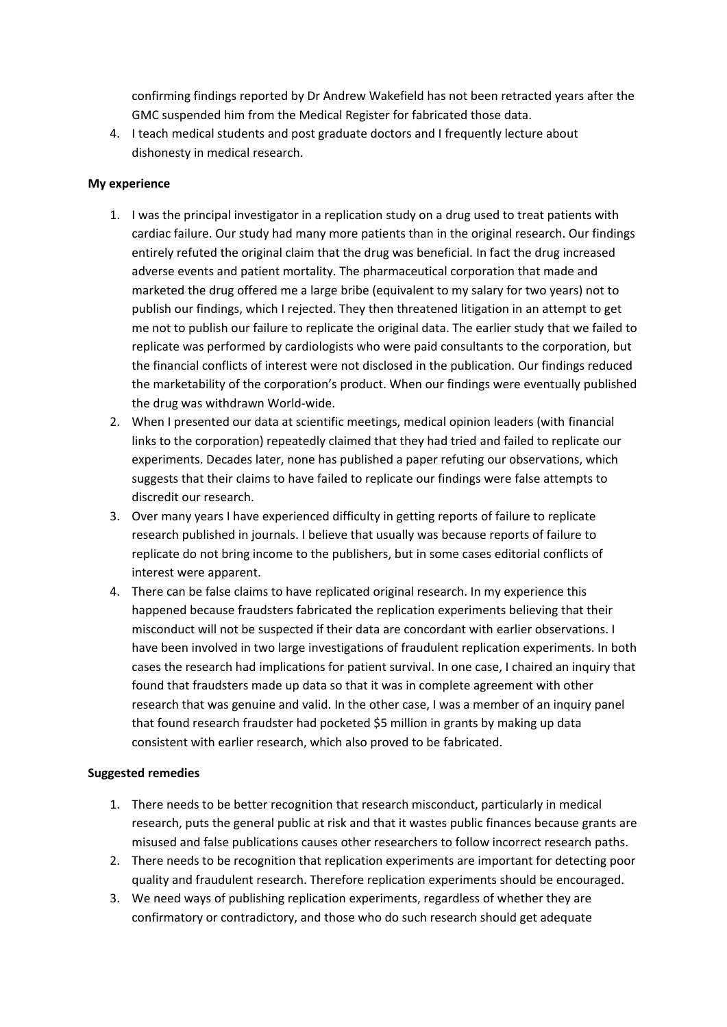confirming findings reported by Dr Andrew Wakefield has not been retracted years after the GMC suspended him from the Medical Register for fabricated those data.

4. I teach medical students and post graduate doctors and I frequently lecture about dishonesty in medical research.

#### **My experience**

- 1. I was the principal investigator in a replication study on a drug used to treat patients with cardiac failure. Our study had many more patients than in the original research. Our findings entirely refuted the original claim that the drug was beneficial. In fact the drug increased adverse events and patient mortality. The pharmaceutical corporation that made and marketed the drug offered me a large bribe (equivalent to my salary for two years) not to publish our findings, which I rejected. They then threatened litigation in an attempt to get me not to publish our failure to replicate the original data. The earlier study that we failed to replicate was performed by cardiologists who were paid consultants to the corporation, but the financial conflicts of interest were not disclosed in the publication. Our findings reduced the marketability of the corporation's product. When our findings were eventually published the drug was withdrawn World-wide.
- 2. When I presented our data at scientific meetings, medical opinion leaders (with financial links to the corporation) repeatedly claimed that they had tried and failed to replicate our experiments. Decades later, none has published a paper refuting our observations, which suggests that their claims to have failed to replicate our findings were false attempts to discredit our research.
- 3. Over many years I have experienced difficulty in getting reports of failure to replicate research published in journals. I believe that usually was because reports of failure to replicate do not bring income to the publishers, but in some cases editorial conflicts of interest were apparent.
- 4. There can be false claims to have replicated original research. In my experience this happened because fraudsters fabricated the replication experiments believing that their misconduct will not be suspected if their data are concordant with earlier observations. I have been involved in two large investigations of fraudulent replication experiments. In both cases the research had implications for patient survival. In one case, I chaired an inquiry that found that fraudsters made up data so that it was in complete agreement with other research that was genuine and valid. In the other case, I was a member of an inquiry panel that found research fraudster had pocketed \$5 million in grants by making up data consistent with earlier research, which also proved to be fabricated.

#### **Suggested remedies**

- 1. There needs to be better recognition that research misconduct, particularly in medical research, puts the general public at risk and that it wastes public finances because grants are misused and false publications causes other researchers to follow incorrect research paths.
- 2. There needs to be recognition that replication experiments are important for detecting poor quality and fraudulent research. Therefore replication experiments should be encouraged.
- 3. We need ways of publishing replication experiments, regardless of whether they are confirmatory or contradictory, and those who do such research should get adequate